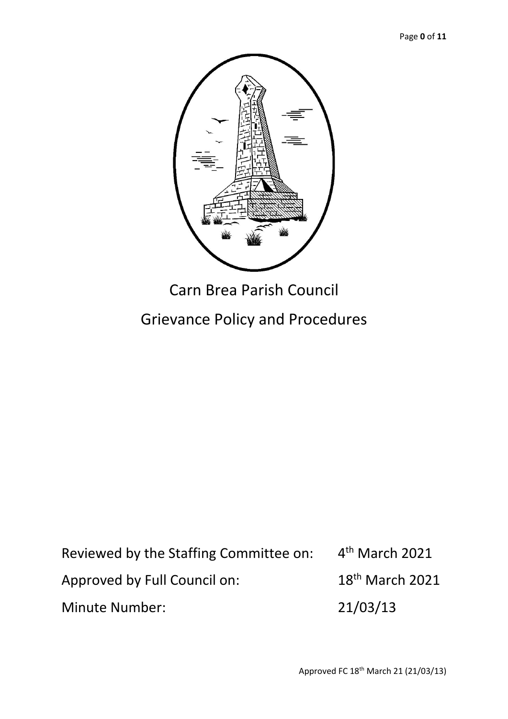

# Grievance Policy and Procedures

Reviewed by the Staffing Committee on: 4 4<sup>th</sup> March 2021 Approved by Full Council on: 18<sup>th</sup> March 2021 Minute Number: 21/03/13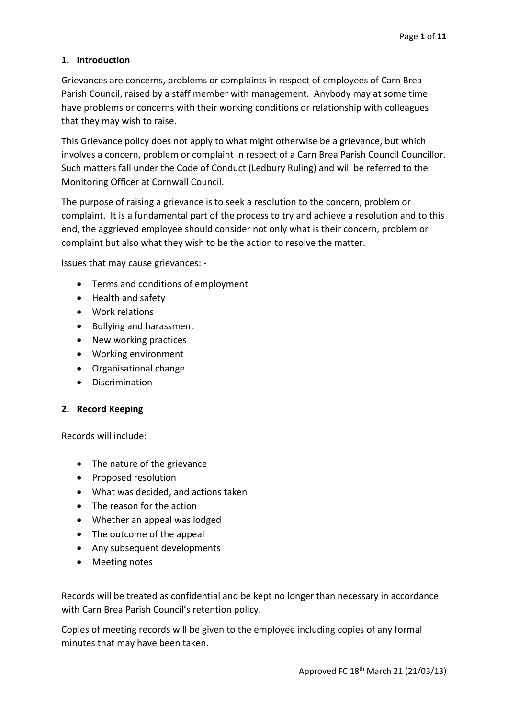# **1. Introduction**

Grievances are concerns, problems or complaints in respect of employees of Carn Brea Parish Council, raised by a staff member with management. Anybody may at some time have problems or concerns with their working conditions or relationship with colleagues that they may wish to raise.

This Grievance policy does not apply to what might otherwise be a grievance, but which involves a concern, problem or complaint in respect of a Carn Brea Parish Council Councillor. Such matters fall under the Code of Conduct (Ledbury Ruling) and will be referred to the Monitoring Officer at Cornwall Council.

The purpose of raising a grievance is to seek a resolution to the concern, problem or complaint. It is a fundamental part of the process to try and achieve a resolution and to this end, the aggrieved employee should consider not only what is their concern, problem or complaint but also what they wish to be the action to resolve the matter.

Issues that may cause grievances: -

- Terms and conditions of employment
- Health and safety
- Work relations
- Bullying and harassment
- New working practices
- Working environment
- Organisational change
- Discrimination

#### **2. Record Keeping**

Records will include:

- The nature of the grievance
- Proposed resolution
- What was decided, and actions taken
- The reason for the action
- Whether an appeal was lodged
- The outcome of the appeal
- Any subsequent developments
- Meeting notes

Records will be treated as confidential and be kept no longer than necessary in accordance with Carn Brea Parish Council's retention policy.

Copies of meeting records will be given to the employee including copies of any formal minutes that may have been taken.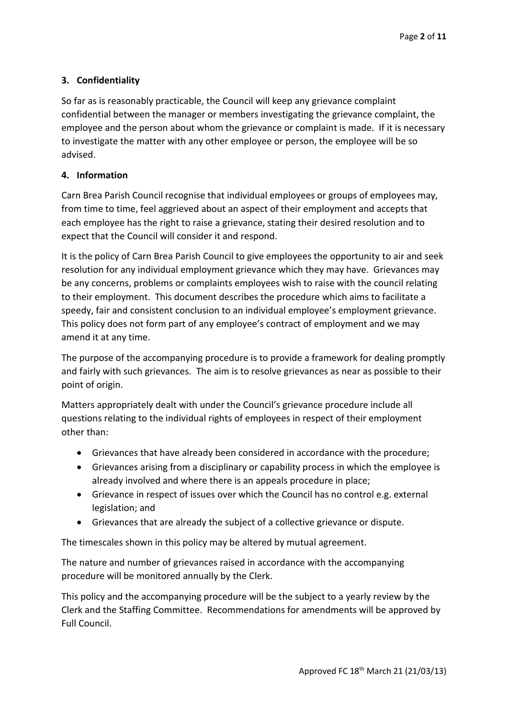# **3. Confidentiality**

So far as is reasonably practicable, the Council will keep any grievance complaint confidential between the manager or members investigating the grievance complaint, the employee and the person about whom the grievance or complaint is made. If it is necessary to investigate the matter with any other employee or person, the employee will be so advised.

#### **4. Information**

Carn Brea Parish Council recognise that individual employees or groups of employees may, from time to time, feel aggrieved about an aspect of their employment and accepts that each employee has the right to raise a grievance, stating their desired resolution and to expect that the Council will consider it and respond.

It is the policy of Carn Brea Parish Council to give employees the opportunity to air and seek resolution for any individual employment grievance which they may have. Grievances may be any concerns, problems or complaints employees wish to raise with the council relating to their employment. This document describes the procedure which aims to facilitate a speedy, fair and consistent conclusion to an individual employee's employment grievance. This policy does not form part of any employee's contract of employment and we may amend it at any time.

The purpose of the accompanying procedure is to provide a framework for dealing promptly and fairly with such grievances. The aim is to resolve grievances as near as possible to their point of origin.

Matters appropriately dealt with under the Council's grievance procedure include all questions relating to the individual rights of employees in respect of their employment other than:

- Grievances that have already been considered in accordance with the procedure;
- Grievances arising from a disciplinary or capability process in which the employee is already involved and where there is an appeals procedure in place;
- Grievance in respect of issues over which the Council has no control e.g. external legislation; and
- Grievances that are already the subject of a collective grievance or dispute.

The timescales shown in this policy may be altered by mutual agreement.

The nature and number of grievances raised in accordance with the accompanying procedure will be monitored annually by the Clerk.

This policy and the accompanying procedure will be the subject to a yearly review by the Clerk and the Staffing Committee. Recommendations for amendments will be approved by Full Council.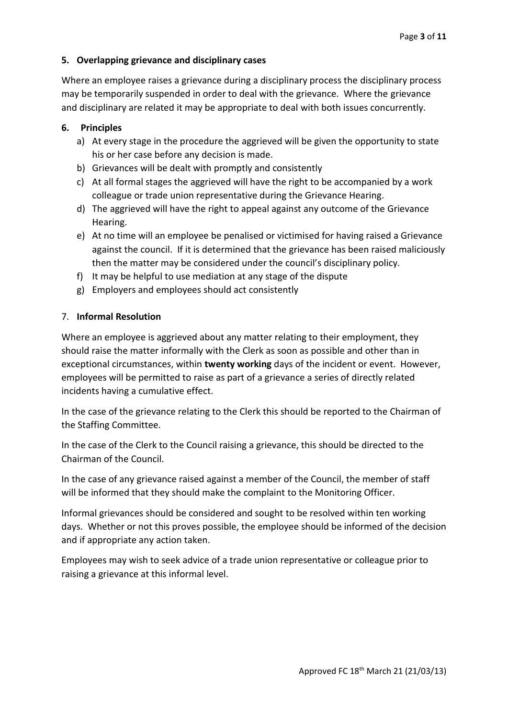# **5. Overlapping grievance and disciplinary cases**

Where an employee raises a grievance during a disciplinary process the disciplinary process may be temporarily suspended in order to deal with the grievance. Where the grievance and disciplinary are related it may be appropriate to deal with both issues concurrently.

# **6. Principles**

- a) At every stage in the procedure the aggrieved will be given the opportunity to state his or her case before any decision is made.
- b) Grievances will be dealt with promptly and consistently
- c) At all formal stages the aggrieved will have the right to be accompanied by a work colleague or trade union representative during the Grievance Hearing.
- d) The aggrieved will have the right to appeal against any outcome of the Grievance Hearing.
- e) At no time will an employee be penalised or victimised for having raised a Grievance against the council. If it is determined that the grievance has been raised maliciously then the matter may be considered under the council's disciplinary policy.
- f) It may be helpful to use mediation at any stage of the dispute
- g) Employers and employees should act consistently

## 7. **Informal Resolution**

Where an employee is aggrieved about any matter relating to their employment, they should raise the matter informally with the Clerk as soon as possible and other than in exceptional circumstances, within **twenty working** days of the incident or event. However, employees will be permitted to raise as part of a grievance a series of directly related incidents having a cumulative effect.

In the case of the grievance relating to the Clerk this should be reported to the Chairman of the Staffing Committee.

In the case of the Clerk to the Council raising a grievance, this should be directed to the Chairman of the Council.

In the case of any grievance raised against a member of the Council, the member of staff will be informed that they should make the complaint to the Monitoring Officer.

Informal grievances should be considered and sought to be resolved within ten working days. Whether or not this proves possible, the employee should be informed of the decision and if appropriate any action taken.

Employees may wish to seek advice of a trade union representative or colleague prior to raising a grievance at this informal level.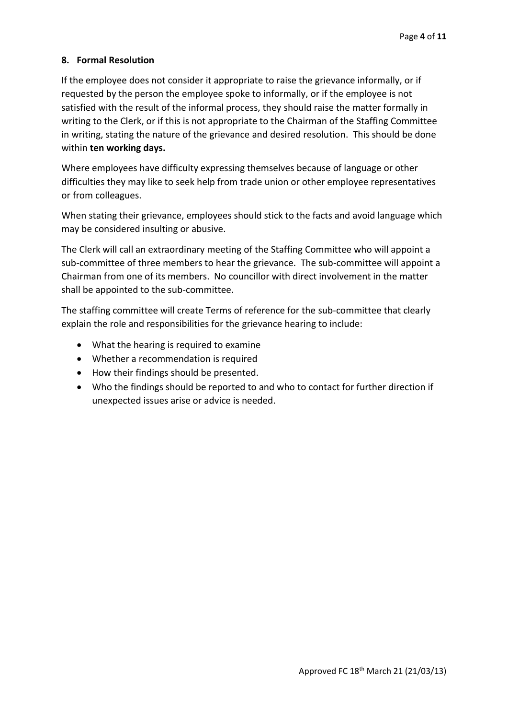## **8. Formal Resolution**

If the employee does not consider it appropriate to raise the grievance informally, or if requested by the person the employee spoke to informally, or if the employee is not satisfied with the result of the informal process, they should raise the matter formally in writing to the Clerk, or if this is not appropriate to the Chairman of the Staffing Committee in writing, stating the nature of the grievance and desired resolution. This should be done within **ten working days.** 

Where employees have difficulty expressing themselves because of language or other difficulties they may like to seek help from trade union or other employee representatives or from colleagues.

When stating their grievance, employees should stick to the facts and avoid language which may be considered insulting or abusive.

The Clerk will call an extraordinary meeting of the Staffing Committee who will appoint a sub-committee of three members to hear the grievance. The sub-committee will appoint a Chairman from one of its members. No councillor with direct involvement in the matter shall be appointed to the sub-committee.

The staffing committee will create Terms of reference for the sub-committee that clearly explain the role and responsibilities for the grievance hearing to include:

- What the hearing is required to examine
- Whether a recommendation is required
- How their findings should be presented.
- Who the findings should be reported to and who to contact for further direction if unexpected issues arise or advice is needed.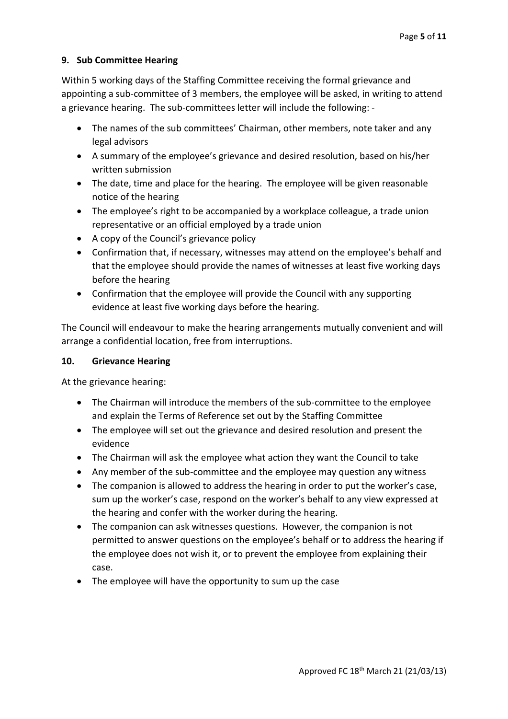## **9. Sub Committee Hearing**

Within 5 working days of the Staffing Committee receiving the formal grievance and appointing a sub-committee of 3 members, the employee will be asked, in writing to attend a grievance hearing. The sub-committees letter will include the following: -

- The names of the sub committees' Chairman, other members, note taker and any legal advisors
- A summary of the employee's grievance and desired resolution, based on his/her written submission
- The date, time and place for the hearing. The employee will be given reasonable notice of the hearing
- The employee's right to be accompanied by a workplace colleague, a trade union representative or an official employed by a trade union
- A copy of the Council's grievance policy
- Confirmation that, if necessary, witnesses may attend on the employee's behalf and that the employee should provide the names of witnesses at least five working days before the hearing
- Confirmation that the employee will provide the Council with any supporting evidence at least five working days before the hearing.

The Council will endeavour to make the hearing arrangements mutually convenient and will arrange a confidential location, free from interruptions.

#### **10. Grievance Hearing**

At the grievance hearing:

- The Chairman will introduce the members of the sub-committee to the employee and explain the Terms of Reference set out by the Staffing Committee
- The employee will set out the grievance and desired resolution and present the evidence
- The Chairman will ask the employee what action they want the Council to take
- Any member of the sub-committee and the employee may question any witness
- The companion is allowed to address the hearing in order to put the worker's case, sum up the worker's case, respond on the worker's behalf to any view expressed at the hearing and confer with the worker during the hearing.
- The companion can ask witnesses questions. However, the companion is not permitted to answer questions on the employee's behalf or to address the hearing if the employee does not wish it, or to prevent the employee from explaining their case.
- The employee will have the opportunity to sum up the case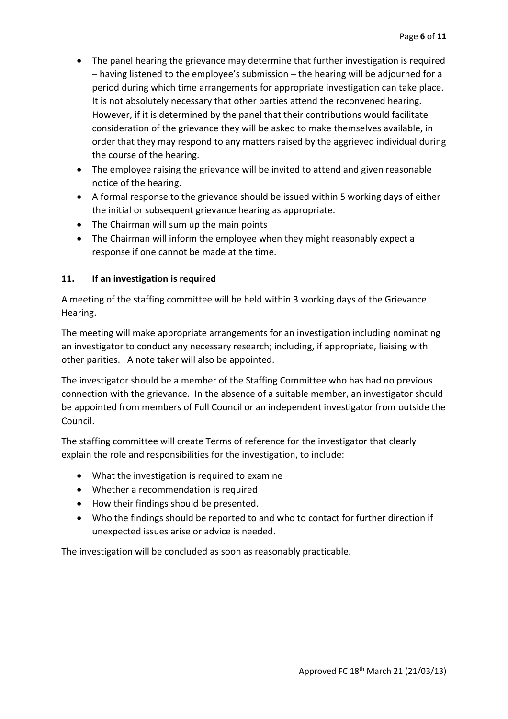- The panel hearing the grievance may determine that further investigation is required – having listened to the employee's submission – the hearing will be adjourned for a period during which time arrangements for appropriate investigation can take place. It is not absolutely necessary that other parties attend the reconvened hearing. However, if it is determined by the panel that their contributions would facilitate consideration of the grievance they will be asked to make themselves available, in order that they may respond to any matters raised by the aggrieved individual during the course of the hearing.
- The employee raising the grievance will be invited to attend and given reasonable notice of the hearing.
- A formal response to the grievance should be issued within 5 working days of either the initial or subsequent grievance hearing as appropriate.
- The Chairman will sum up the main points
- The Chairman will inform the employee when they might reasonably expect a response if one cannot be made at the time.

## **11. If an investigation is required**

A meeting of the staffing committee will be held within 3 working days of the Grievance Hearing.

The meeting will make appropriate arrangements for an investigation including nominating an investigator to conduct any necessary research; including, if appropriate, liaising with other parities. A note taker will also be appointed.

The investigator should be a member of the Staffing Committee who has had no previous connection with the grievance. In the absence of a suitable member, an investigator should be appointed from members of Full Council or an independent investigator from outside the Council.

The staffing committee will create Terms of reference for the investigator that clearly explain the role and responsibilities for the investigation, to include:

- What the investigation is required to examine
- Whether a recommendation is required
- How their findings should be presented.
- Who the findings should be reported to and who to contact for further direction if unexpected issues arise or advice is needed.

The investigation will be concluded as soon as reasonably practicable.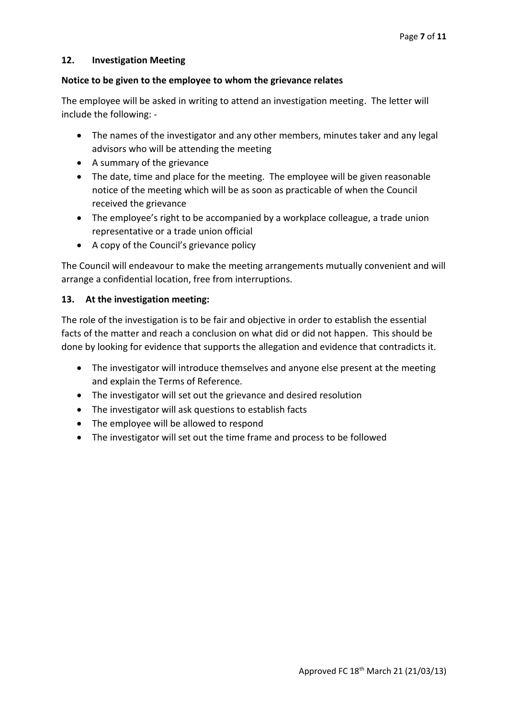#### **12. Investigation Meeting**

#### **Notice to be given to the employee to whom the grievance relates**

The employee will be asked in writing to attend an investigation meeting. The letter will include the following: -

- The names of the investigator and any other members, minutes taker and any legal advisors who will be attending the meeting
- A summary of the grievance
- The date, time and place for the meeting. The employee will be given reasonable notice of the meeting which will be as soon as practicable of when the Council received the grievance
- The employee's right to be accompanied by a workplace colleague, a trade union representative or a trade union official
- A copy of the Council's grievance policy

The Council will endeavour to make the meeting arrangements mutually convenient and will arrange a confidential location, free from interruptions.

#### **13. At the investigation meeting:**

The role of the investigation is to be fair and objective in order to establish the essential facts of the matter and reach a conclusion on what did or did not happen. This should be done by looking for evidence that supports the allegation and evidence that contradicts it.

- The investigator will introduce themselves and anyone else present at the meeting and explain the Terms of Reference.
- The investigator will set out the grievance and desired resolution
- The investigator will ask questions to establish facts
- The employee will be allowed to respond
- The investigator will set out the time frame and process to be followed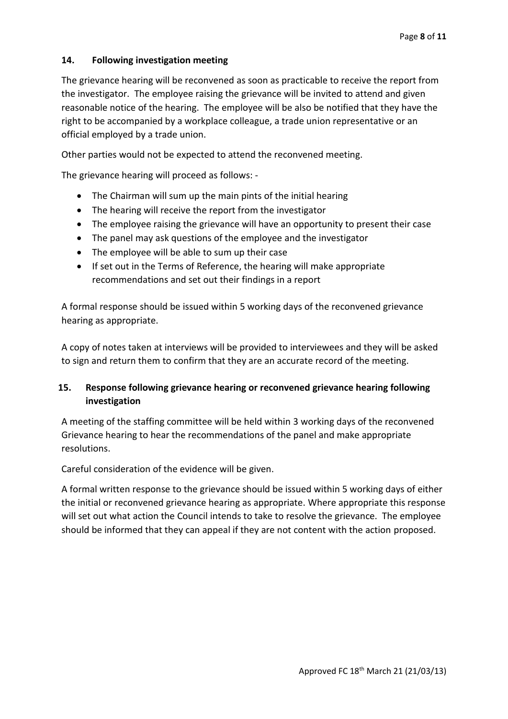## **14. Following investigation meeting**

The grievance hearing will be reconvened as soon as practicable to receive the report from the investigator. The employee raising the grievance will be invited to attend and given reasonable notice of the hearing. The employee will be also be notified that they have the right to be accompanied by a workplace colleague, a trade union representative or an official employed by a trade union.

Other parties would not be expected to attend the reconvened meeting.

The grievance hearing will proceed as follows: -

- The Chairman will sum up the main pints of the initial hearing
- The hearing will receive the report from the investigator
- The employee raising the grievance will have an opportunity to present their case
- The panel may ask questions of the employee and the investigator
- The employee will be able to sum up their case
- If set out in the Terms of Reference, the hearing will make appropriate recommendations and set out their findings in a report

A formal response should be issued within 5 working days of the reconvened grievance hearing as appropriate.

A copy of notes taken at interviews will be provided to interviewees and they will be asked to sign and return them to confirm that they are an accurate record of the meeting.

# **15. Response following grievance hearing or reconvened grievance hearing following investigation**

A meeting of the staffing committee will be held within 3 working days of the reconvened Grievance hearing to hear the recommendations of the panel and make appropriate resolutions.

Careful consideration of the evidence will be given.

A formal written response to the grievance should be issued within 5 working days of either the initial or reconvened grievance hearing as appropriate. Where appropriate this response will set out what action the Council intends to take to resolve the grievance. The employee should be informed that they can appeal if they are not content with the action proposed.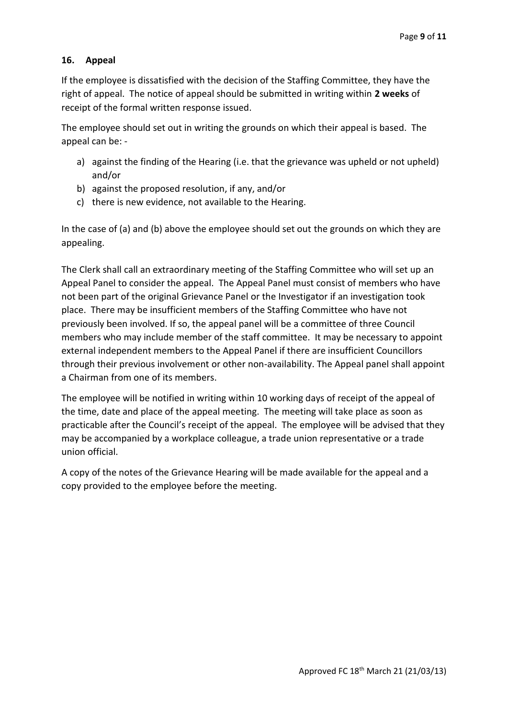## **16. Appeal**

If the employee is dissatisfied with the decision of the Staffing Committee, they have the right of appeal. The notice of appeal should be submitted in writing within **2 weeks** of receipt of the formal written response issued.

The employee should set out in writing the grounds on which their appeal is based. The appeal can be: -

- a) against the finding of the Hearing (i.e. that the grievance was upheld or not upheld) and/or
- b) against the proposed resolution, if any, and/or
- c) there is new evidence, not available to the Hearing.

In the case of (a) and (b) above the employee should set out the grounds on which they are appealing.

The Clerk shall call an extraordinary meeting of the Staffing Committee who will set up an Appeal Panel to consider the appeal. The Appeal Panel must consist of members who have not been part of the original Grievance Panel or the Investigator if an investigation took place. There may be insufficient members of the Staffing Committee who have not previously been involved. If so, the appeal panel will be a committee of three Council members who may include member of the staff committee. It may be necessary to appoint external independent members to the Appeal Panel if there are insufficient Councillors through their previous involvement or other non-availability. The Appeal panel shall appoint a Chairman from one of its members.

The employee will be notified in writing within 10 working days of receipt of the appeal of the time, date and place of the appeal meeting. The meeting will take place as soon as practicable after the Council's receipt of the appeal. The employee will be advised that they may be accompanied by a workplace colleague, a trade union representative or a trade union official.

A copy of the notes of the Grievance Hearing will be made available for the appeal and a copy provided to the employee before the meeting.